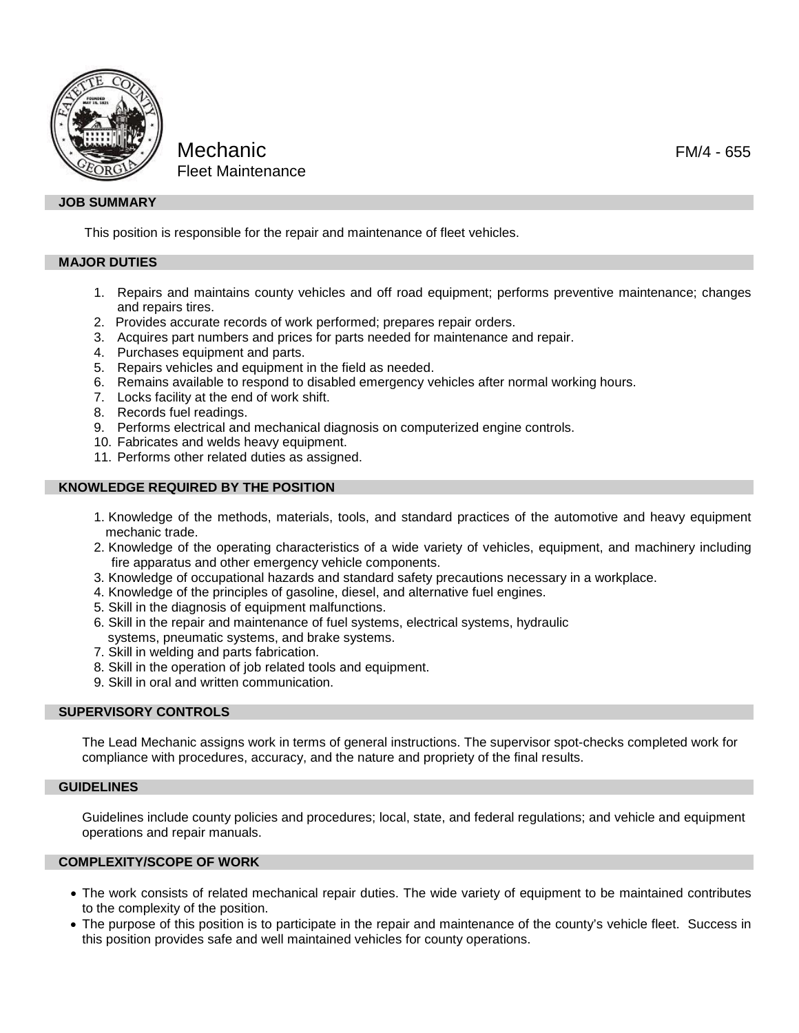

# Mechanic FM/4 - 655 Fleet Maintenance

# **JOB SUMMARY**

This position is responsible for the repair and maintenance of fleet vehicles.

#### **MAJOR DUTIES**

- 1. Repairs and maintains county vehicles and off road equipment; performs preventive maintenance; changes and repairs tires.
- 2. Provides accurate records of work performed; prepares repair orders.
- 3. Acquires part numbers and prices for parts needed for maintenance and repair.
- 4. Purchases equipment and parts.
- 5. Repairs vehicles and equipment in the field as needed.
- 6. Remains available to respond to disabled emergency vehicles after normal working hours.
- 7. Locks facility at the end of work shift.
- 8. Records fuel readings.
- 9. Performs electrical and mechanical diagnosis on computerized engine controls.
- 10. Fabricates and welds heavy equipment.
- 11. Performs other related duties as assigned.

### **KNOWLEDGE REQUIRED BY THE POSITION**

- 1. Knowledge of the methods, materials, tools, and standard practices of the automotive and heavy equipment mechanic trade.
- 2. Knowledge of the operating characteristics of a wide variety of vehicles, equipment, and machinery including fire apparatus and other emergency vehicle components.
- 3. Knowledge of occupational hazards and standard safety precautions necessary in a workplace.
- 4. Knowledge of the principles of gasoline, diesel, and alternative fuel engines.
- 5. Skill in the diagnosis of equipment malfunctions.
- 6. Skill in the repair and maintenance of fuel systems, electrical systems, hydraulic systems, pneumatic systems, and brake systems.
- 7. Skill in welding and parts fabrication.
- 8. Skill in the operation of job related tools and equipment.
- 9. Skill in oral and written communication.

#### **SUPERVISORY CONTROLS**

The Lead Mechanic assigns work in terms of general instructions. The supervisor spot-checks completed work for compliance with procedures, accuracy, and the nature and propriety of the final results.

#### **GUIDELINES**

Guidelines include county policies and procedures; local, state, and federal regulations; and vehicle and equipment operations and repair manuals.

# **COMPLEXITY/SCOPE OF WORK**

- The work consists of related mechanical repair duties. The wide variety of equipment to be maintained contributes to the complexity of the position.
- The purpose of this position is to participate in the repair and maintenance of the county's vehicle fleet. Success in this position provides safe and well maintained vehicles for county operations.